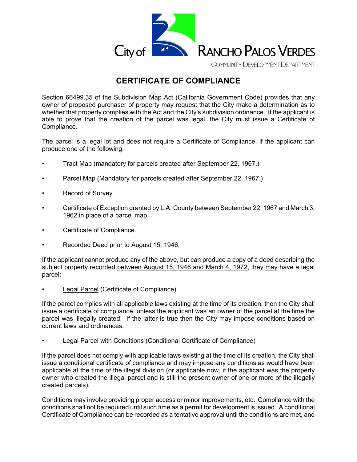

# **CERTIFICATE OF COMPLIANCE**

Section 66499.35 of the Subdivision Map Act (California Government Code) provides that any owner of proposed purchaser of property may request that the City make a determination as to whether that property complies with the Act and the City's subdivision ordinance. If the applicant is able to prove that the creation of the parcel was legal, the City must issue a Certificate of Compliance.

The parcel is a legal lot and does not require a Certificate of Compliance, if the applicant can produce one of the following:

- Tract Map (mandatory for parcels created after September 22, 1967.)
- Parcel Map (Mandatory for parcels created after September 22, 1967.)
- Record of Survey.
- Certificate of Exception granted by L.A. County between September 22, 1967 and March 3, 1962 in place of a parcel map.
- Certificate of Compliance.
- Recorded Deed prior to August 15, 1946.

If the applicant cannot produce any of the above, but can produce a copy of a deed describing the subject property recorded between August 15, 1946 and March 4, 1972, they may have a legal parcel:

• Legal Parcel (Certificate of Compliance)

If the parcel complies with all applicable laws existing at the time of its creation, then the City shall issue a certificate of compliance, unless the applicant was an owner of the parcel at the time the parcel was illegally created. If the latter is true then the City may impose conditions based on current laws and ordinances.

Legal Parcel with Conditions (Conditional Certificate of Compliance)

If the parcel does not comply with applicable laws existing at the time of its creation, the City shall issue a conditional certificate of compliance and may impose any conditions as would have been applicable at the time of the illegal division (or applicable now, if the applicant was the property owner who created the illegal parcel and is still the present owner of one or more of the illegally created parcels).

Conditions may involve providing proper access or minor improvements, etc. Compliance with the conditions shall not be required until such time as a permit for development is issued. A conditional Certificate of Compliance can be recorded as a tentative approval until the conditions are met, and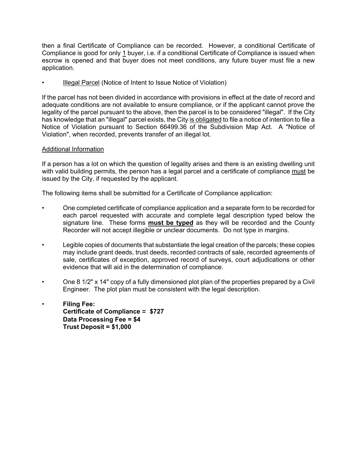then a final Certificate of Compliance can be recorded. However, a conditional Certificate of Compliance is good for only 1 buyer, i.e. if a conditional Certificate of Compliance is issued when escrow is opened and that buyer does not meet conditions, any future buyer must file a new application.

• Illegal Parcel (Notice of Intent to Issue Notice of Violation)

If the parcel has not been divided in accordance with provisions in effect at the date of record and adequate conditions are not available to ensure compliance, or if the applicant cannot prove the legality of the parcel pursuant to the above, then the parcel is to be considered "illegal". If the City has knowledge that an "illegal" parcel exists, the City is obligated to file a notice of intention to file a Notice of Violation pursuant to Section 66499.36 of the Subdivision Map Act. A "Notice of Violation", when recorded, prevents transfer of an illegal lot.

#### Additional Information

If a person has a lot on which the question of legality arises and there is an existing dwelling unit with valid building permits, the person has a legal parcel and a certificate of compliance must be issued by the City, if requested by the applicant.

The following items shall be submitted for a Certificate of Compliance application:

- One completed certificate of compliance application and a separate form to be recorded for each parcel requested with accurate and complete legal description typed below the signature line. These forms **must be typed** as they will be recorded and the County Recorder will not accept illegible or unclear documents. Do not type in margins.
- Legible copies of documents that substantiate the legal creation of the parcels; these copies may include grant deeds, trust deeds, recorded contracts of sale, recorded agreements of sale, certificates of exception, approved record of surveys, court adjudications or other evidence that will aid in the determination of compliance.
- One 8 1/2" x 14" copy of a fully dimensioned plot plan of the properties prepared by a Civil Engineer. The plot plan must be consistent with the legal description.
- **Filing Fee: Certificate of Compliance = \$727 Data Processing Fee = \$4 Trust Deposit = \$1,000**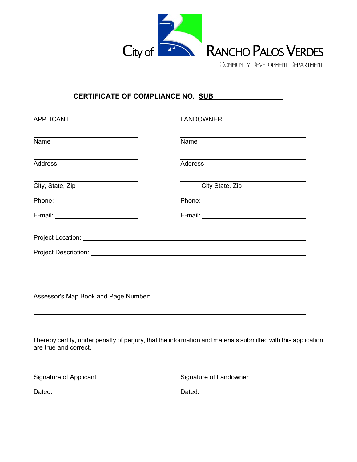

# **CERTIFICATE OF COMPLIANCE NO. SUB**

| APPLICANT:                                                                                                                                                                                                                            | LANDOWNER:      |
|---------------------------------------------------------------------------------------------------------------------------------------------------------------------------------------------------------------------------------------|-----------------|
| the control of the control of the control of the control of the control of the control of the control of the control of the control of the control of the control of the control of the control of the control of the control<br>Name | Name            |
| <b>Address</b>                                                                                                                                                                                                                        | <b>Address</b>  |
| City, State, Zip                                                                                                                                                                                                                      | City State, Zip |
|                                                                                                                                                                                                                                       |                 |
| E-mail: ____________________________                                                                                                                                                                                                  |                 |
|                                                                                                                                                                                                                                       |                 |
| Project Description: <u>contract the contract of the contract of the contract of the contract of the contract of</u>                                                                                                                  |                 |
|                                                                                                                                                                                                                                       |                 |
|                                                                                                                                                                                                                                       |                 |
| Assessor's Map Book and Page Number:                                                                                                                                                                                                  |                 |

I hereby certify, under penalty of perjury, that the information and materials submitted with this application are true and correct.

Signature of Applicant

Signature of Landowner

| $\overline{\phantom{0}}$<br>Daled<br>$-$ - $   -$ |  |
|---------------------------------------------------|--|
|---------------------------------------------------|--|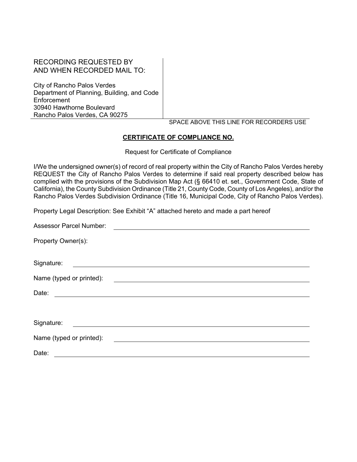# RECORDING REQUESTED BY AND WHEN RECORDED MAIL TO:

City of Rancho Palos Verdes Department of Planning, Building, and Code **Enforcement** 30940 Hawthorne Boulevard Rancho Palos Verdes, CA 90275

#### SPACE ABOVE THIS LINE FOR RECORDERS USE

## **CERTIFICATE OF COMPLIANCE NO.**

Request for Certificate of Compliance

I/We the undersigned owner(s) of record of real property within the City of Rancho Palos Verdes hereby REQUEST the City of Rancho Palos Verdes to determine if said real property described below has complied with the provisions of the Subdivision Map Act (§ 66410 et. set., Government Code, State of California), the County Subdivision Ordinance (Title 21, County Code, County of Los Angeles), and/or the Rancho Palos Verdes Subdivision Ordinance (Title 16, Municipal Code, City of Rancho Palos Verdes).

Property Legal Description: See Exhibit "A" attached hereto and made a part hereof

| <b>Assessor Parcel Number:</b>                                                                                                 |
|--------------------------------------------------------------------------------------------------------------------------------|
| Property Owner(s):                                                                                                             |
| Signature:                                                                                                                     |
| Name (typed or printed):                                                                                                       |
| Date:<br><u> 1989 - Andrea State Barbara, amerikan personal di sebagai personal di sebagai personal di sebagai personal di</u> |
| Signature:                                                                                                                     |
| Name (typed or printed):                                                                                                       |
| Date:                                                                                                                          |